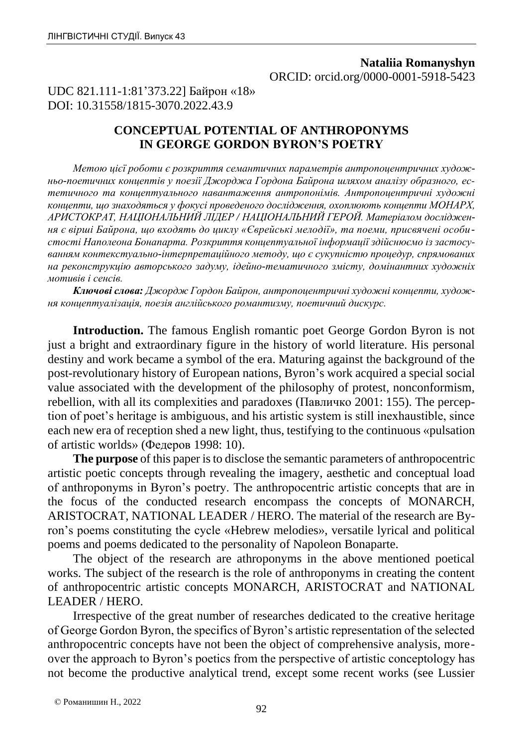# **Nataliia Romanyshyn** ORCID: orcid.org/0000-0001-5918-5423

UDC 821.111-1:81'373.22] Байрон «18» DOI: 10.31558/1815-3070.2022.43.9

# **CONCEPTUAL POTENTIAL OF ANTHROPONYMS IN GEORGE GORDON BYRON'S POETRY**

*Метою цієї роботи є розкриття семантичних параметрів антропоцентричних художньо-поетичних концептів у поезії Джорджа Гордона Байрона шляхом аналізу образного, естетичного та концептуального навантаження антропонімів. Антропоцентричні художні концепти, що знаходяться у фокусі проведеного дослідження, охоплюють концепти МОНАРХ, АРИСТОКРАТ, НАЦІОНАЛЬНИЙ ЛІДЕР / НАЦІОНАЛЬНИЙ ГЕРОЙ. Матеріалом дослідження є вірші Байрона, що входять до циклу «Єврейські мелодії», та поеми, присвячені особистості Наполеона Бонапарта. Розкриття концептуальної інформації здійснюємо із застосуванням контекстуально-інтерпретаційного методу, що є сукупністю процедур, спрямованих на реконструкцію авторського задуму, ідейно-тематичного змісту, домінантних художніх мотивів і сенсів.*

*Ключові слова: Джордж Гордон Байрон, антропоцентричні художні концепти, художня концептуалізація, поезія англійського романтизму, поетичний дискурс.*

**Introduction.** The famous English romantic poet George Gordon Byron is not just a bright and extraordinary figure in the history of world literature. His personal destiny and work became a symbol of the era. Maturing against the background of the post-revolutionary history of European nations, Byron's work acquired a special social value associated with the development of the philosophy of protest, nonconformism, rebellion, with all its complexities and paradoxes (Павличко 2001: 155). The perception of poet's heritage is ambiguous, and his artistic system is still inexhaustible, since each new era of reception shed a new light, thus, testifying to the continuous «pulsation of artistic worlds» (Федеров 1998: 10).

**The purpose** of this paper is to disclose the semantic parameters of anthropocentric artistic poetic concepts through revealing the imagery, aesthetic and conceptual load of anthroponyms in Byron's poetry. The anthropocentric artistic concepts that are in the focus of the conducted research encompass the concepts of MONARCH, ARISTOCRAT, NATIONAL LEADER / HERO. The material of the research are Byron's poems constituting the cycle «Hebrew melodies», versatile lyrical and political poems and poems dedicated to the personality of Napoleon Bonaparte.

The object of the research are athroponyms in the above mentioned poetical works. The subject of the research is the role of anthroponyms in creating the content of anthropocentric artistic concepts MONARCH, ARISTOCRAT and NATIONAL LEADER / HERO.

Irrespective of the great number of researches dedicated to the creative heritage of George Gordon Byron, the specifics of Byron's artistic representation of the selected anthropocentric concepts have not been the object of comprehensive analysis, moreover the approach to Byron's poetics from the perspective of artistic conceptology has not become the productive analytical trend, except some recent works (see Lussier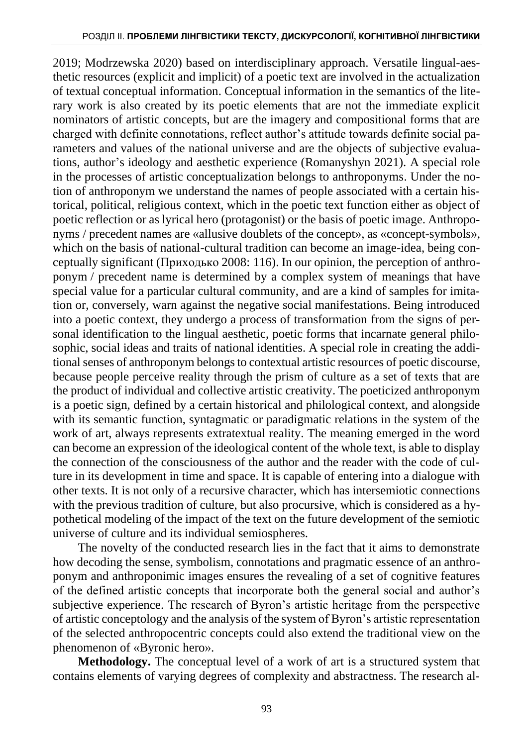2019; Modrzewska 2020) based on interdisciplinary approach. Versatile lingual-aesthetic resources (explicit and implicit) of a poetic text are involved in the actualization of textual conceptual information. Conceptual information in the semantics of the literary work is also created by its poetic elements that are not the immediate explicit nominators of artistic concepts, but are the imagery and compositional forms that are charged with definite connotations, reflect author's attitude towards definite social parameters and values of the national universe and are the objects of subjective evaluations, author's ideology and aesthetic experience (Romanyshyn 2021). A special role in the processes of artistic conceptualization belongs to anthroponyms. Under the notion of anthroponym we understand the names of people associated with a certain historical, political, religious context, which in the poetic text function either as object of poetic reflection or as lyrical hero (protagonist) or the basis of poetic image. Anthroponyms / precedent names are «allusive doublets of the concept», as «concept-symbols», which on the basis of national-cultural tradition can become an image-idea, being conceptually significant (Приходько 2008: 116). In our opinion, the perception of anthroponym / precedent name is determined by a complex system of meanings that have special value for a particular cultural community, and are a kind of samples for imitation or, conversely, warn against the negative social manifestations. Being introduced into a poetic context, they undergo a process of transformation from the signs of personal identification to the lingual aesthetic, poetic forms that incarnate general philosophic, social ideas and traits of national identities. A special role in creating the additional senses of anthroponym belongs to contextual artistic resources of poetic discourse, because people perceive reality through the prism of culture as a set of texts that are the product of individual and collective artistic creativity. The poeticized anthroponym is a poetic sign, defined by a certain historical and philological context, and alongside with its semantic function, syntagmatic or paradigmatic relations in the system of the work of art, always represents extratextual reality. The meaning emerged in the word can become an expression of the ideological content of the whole text, is able to display the connection of the consciousness of the author and the reader with the code of culture in its development in time and space. It is capable of entering into a dialogue with other texts. It is not only of a recursive character, which has intersemiotic connections with the previous tradition of culture, but also procursive, which is considered as a hypothetical modeling of the impact of the text on the future development of the semiotic universe of culture and its individual semiospheres.

The novelty of the conducted research lies in the fact that it aims to demonstrate how decoding the sense, symbolism, connotations and pragmatic essence of an anthroponym and anthroponimic images ensures the revealing of a set of cognitive features of the defined artistic concepts that incorporate both the general social and author's subjective experience. The research of Byron's artistic heritage from the perspective of artistic conceptology and the analysis of the system of Byron's artistic representation of the selected anthropocentric concepts could also extend the traditional view on the phenomenon of «Byronic hero».

**Methodology.** The conceptual level of a work of art is a structured system that contains elements of varying degrees of complexity and abstractness. The research al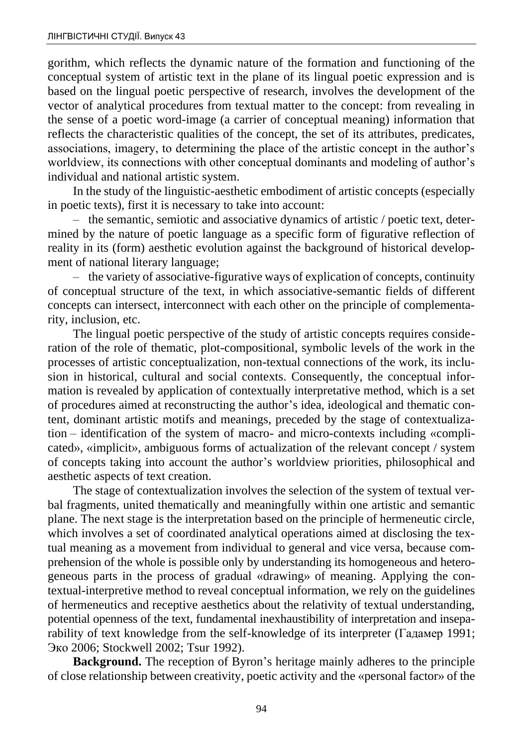gorithm, which reflects the dynamic nature of the formation and functioning of the conceptual system of artistic text in the plane of its lingual poetic expression and is based on the lingual poetic perspective of research, involves the development of the vector of analytical procedures from textual matter to the concept: from revealing in the sense of a poetic word-image (a carrier of conceptual meaning) information that reflects the characteristic qualities of the concept, the set of its attributes, predicates, associations, imagery, to determining the place of the artistic concept in the author's worldview, its connections with other conceptual dominants and modeling of author's individual and national artistic system.

In the study of the linguistic-aesthetic embodiment of artistic concepts (especially in poetic texts), first it is necessary to take into account:

– the semantic, semiotic and associative dynamics of artistic / poetic text, determined by the nature of poetic language as a specific form of figurative reflection of reality in its (form) aesthetic evolution against the background of historical development of national literary language;

– the variety of associative-figurative ways of explication of concepts, continuity of conceptual structure of the text, in which associative-semantic fields of different concepts can intersect, interconnect with each other on the principle of complementarity, inclusion, etc.

The lingual poetic perspective of the study of artistic concepts requires consideration of the role of thematic, plot-compositional, symbolic levels of the work in the processes of artistic conceptualization, non-textual connections of the work, its inclusion in historical, cultural and social contexts. Consequently, the conceptual information is revealed by application of contextually interpretative method, which is a set of procedures aimed at reconstructing the author's idea, ideological and thematic content, dominant artistic motifs and meanings, preceded by the stage of contextualization – identification of the system of macro- and micro-contexts including «complicated», «implicit», ambiguous forms of actualization of the relevant concept / system of concepts taking into account the author's worldview priorities, philosophical and aesthetic aspects of text creation.

The stage of contextualization involves the selection of the system of textual verbal fragments, united thematically and meaningfully within one artistic and semantic plane. The next stage is the interpretation based on the principle of hermeneutic circle, which involves a set of coordinated analytical operations aimed at disclosing the textual meaning as a movement from individual to general and vice versa, because comprehension of the whole is possible only by understanding its homogeneous and heterogeneous parts in the process of gradual «drawing» of meaning. Applying the contextual-interpretive method to reveal conceptual information, we rely on the guidelines of hermeneutics and receptive aesthetics about the relativity of textual understanding, potential openness of the text, fundamental inexhaustibility of interpretation and inseparability of text knowledge from the self-knowledge of its interpreter (Гадамер 1991; Эко 2006; Stockwell 2002; Tsur 1992).

**Background.** The reception of Byron's heritage mainly adheres to the principle of close relationship between creativity, poetic activity and the «personal factor» of the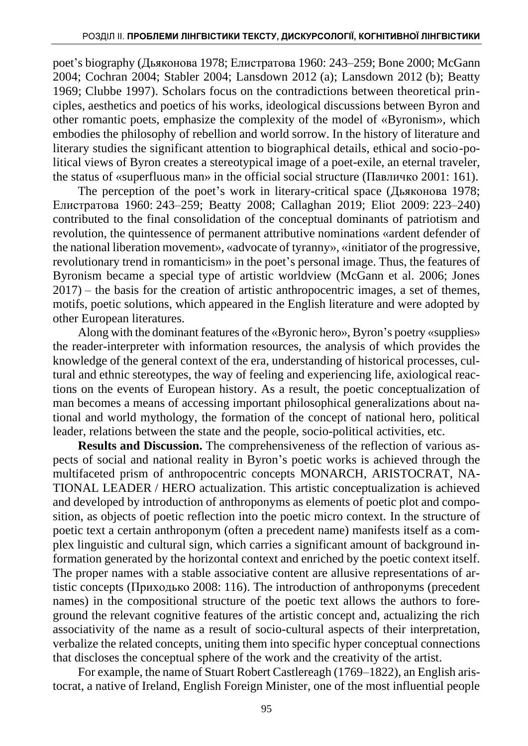poet's biography (Дьяконова 1978; Елистратова 1960: 243–259; Bone 2000; McGann 2004; Cochran 2004; Stabler 2004; Lansdown 2012 (a); Lansdown 2012 (b); Beatty 1969; Clubbe 1997). Scholars focus on the contradictions between theoretical principles, aesthetics and poetics of his works, ideological discussions between Byron and other romantic poets, emphasize the complexity of the model of «Byronism», which embodies the philosophy of rebellion and world sorrow. In the history of literature and literary studies the significant attention to biographical details, ethical and socio-political views of Byron creates a stereotypical image of a poet-exile, an eternal traveler, the status of «superfluous man» in the official social structure (Павличко 2001: 161).

The perception of the poet's work in literary-critical space (Дьяконова 1978; Елистратова 1960: 243–259; Beatty 2008; Callaghan 2019; Eliot 2009: 223–240) contributed to the final consolidation of the conceptual dominants of patriotism and revolution, the quintessence of permanent attributive nominations «ardent defender of the national liberation movement», «advocate of tyranny», «initiator of the progressive, revolutionary trend in romanticism» in the poet's personal image. Thus, the features of Byronism became a special type of artistic worldview (McGann et al. 2006; Jones 2017) – the basis for the creation of artistic anthropocentric images, a set of themes, motifs, poetic solutions, which appeared in the English literature and were adopted by other European literatures.

Along with the dominant features of the «Byronic hero», Byron's poetry «supplies» the reader-interpreter with information resources, the analysis of which provides the knowledge of the general context of the era, understanding of historical processes, cultural and ethnic stereotypes, the way of feeling and experiencing life, axiological reactions on the events of European history. As a result, the poetic conceptualization of man becomes a means of accessing important philosophical generalizations about national and world mythology, the formation of the concept of national hero, political leader, relations between the state and the people, socio-political activities, etc.

**Results and Discussion.** The comprehensiveness of the reflection of various aspects of social and national reality in Byron's poetic works is achieved through the multifaceted prism of anthropocentric concepts MONARCH, ARISTOCRAT, NA-TIONAL LEADER / HERO actualization. This artistic conceptualization is achieved and developed by introduction of anthroponyms as elements of poetic plot and composition, as objects of poetic reflection into the poetic micro context. In the structure of poetic text a certain anthroponym (often a precedent name) manifests itself as a complex linguistic and cultural sign, which carries a significant amount of background information generated by the horizontal context and enriched by the poetic context itself. The proper names with a stable associative content are allusive representations of artistic concepts (Приходько 2008: 116). The introduction of anthroponyms (precedent names) in the compositional structure of the poetic text allows the authors to foreground the relevant cognitive features of the artistic concept and, actualizing the rich associativity of the name as a result of socio-cultural aspects of their interpretation, verbalize the related concepts, uniting them into specific hyper conceptual connections that discloses the conceptual sphere of the work and the creativity of the artist.

For example, the name of Stuart Robert Castlereagh (1769–1822), an English aristocrat, a native of Ireland, English Foreign Minister, one of the most influential people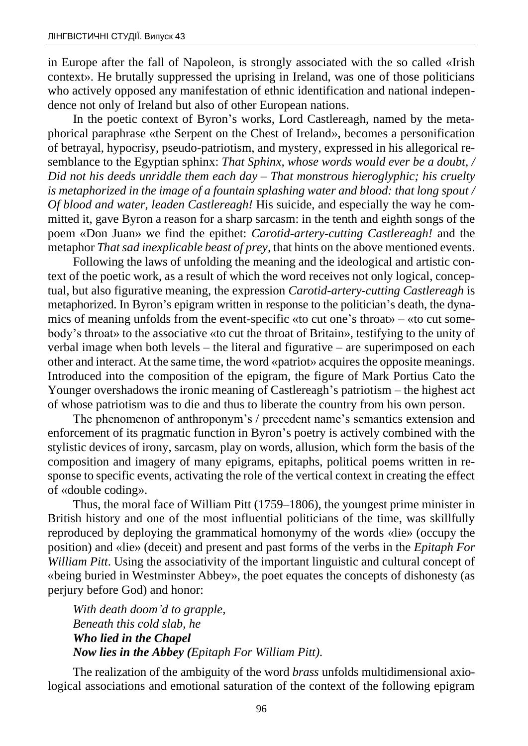in Europe after the fall of Napoleon, is strongly associated with the so called «Irish context». He brutally suppressed the uprising in Ireland, was one of those politicians who actively opposed any manifestation of ethnic identification and national independence not only of Ireland but also of other European nations.

In the poetic context of Byron's works, Lord Castlereagh, named by the metaphorical paraphrase «the Serpent on the Chest of Ireland», becomes a personification of betrayal, hypocrisy, pseudo-patriotism, and mystery, expressed in his allegorical resemblance to the Egyptian sphinx: *That Sphinx, whose words would ever be a doubt, / Did not his deeds unriddle them each day – That monstrous hieroglyphic; his cruelty is metaphorized in the image of a fountain splashing water and blood: that long spout / Of blood and water, leaden Castlereagh!* His suicide, and especially the way he committed it, gave Byron a reason for a sharp sarcasm: in the tenth and eighth songs of the poem «Don Juan» we find the epithet: *Carotid-artery-cutting Castlereagh!* and the metaphor *That sad inexplicable beast of prey,* that hints on the above mentioned events.

Following the laws of unfolding the meaning and the ideological and artistic context of the poetic work, as a result of which the word receives not only logical, conceptual, but also figurative meaning, the expression *Carotid-artery-cutting Castlereagh* is metaphorized. In Byron's epigram written in response to the politician's death, the dynamics of meaning unfolds from the event-specific «to cut one's throat» – «to cut somebody's throat» to the associative «to cut the throat of Britain», testifying to the unity of verbal image when both levels – the literal and figurative – are superimposed on each other and interact. At the same time, the word «patriot» acquires the opposite meanings. Introduced into the composition of the epigram, the figure of Mark Portius Cato the Younger overshadows the ironic meaning of Castlereagh's patriotism – the highest act of whose patriotism was to die and thus to liberate the country from his own person.

The phenomenon of anthroponym's / precedent name's semantics extension and enforcement of its pragmatic function in Byron's poetry is actively combined with the stylistic devices of irony, sarcasm, play on words, allusion, which form the basis of the composition and imagery of many epigrams, epitaphs, political poems written in response to specific events, activating the role of the vertical context in creating the effect of «double coding».

Thus, the moral face of William Pitt (1759–1806), the youngest prime minister in British history and one of the most influential politicians of the time, was skillfully reproduced by deploying the grammatical homonymy of the words «lie» (occupy the position) and «lie» (deceit) and present and past forms of the verbs in the *Epitaph For William Pitt*. Using the associativity of the important linguistic and cultural concept of «being buried in Westminster Abbey», the poet equates the concepts of dishonesty (as perjury before God) and honor:

*With death doom'd to grapple, Beneath this cold slab, he Who lied in the Chapel Now lies in the Abbey (Epitaph For William Pitt).*

The realization of the ambiguity of the word *brass* unfolds multidimensional axiological associations and emotional saturation of the context of the following epigram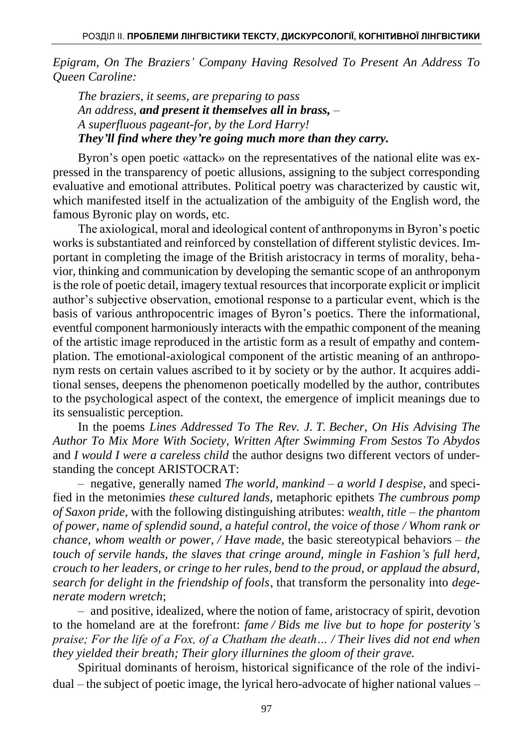*Epigram, On The Braziers' Company Having Resolved To Present An Address To Queen Caroline:*

*The braziers, it seems, are preparing to pass An address, and present it themselves all in brass, – A superfluous pageant-for, by the Lord Harry! They'll find where they're going much more than they carry.*

Byron's open poetic «attack» on the representatives of the national elite was expressed in the transparency of poetic allusions, assigning to the subject corresponding evaluative and emotional attributes. Political poetry was characterized by caustic wit, which manifested itself in the actualization of the ambiguity of the English word, the famous Byronic play on words, etc.

The axiological, moral and ideological content of anthroponyms in Byron's poetic works is substantiated and reinforced by constellation of different stylistic devices. Important in completing the image of the British aristocracy in terms of morality, behavior, thinking and communication by developing the semantic scope of an anthroponym is the role of poetic detail, imagery textual resources that incorporate explicit or implicit author's subjective observation, emotional response to a particular event, which is the basis of various anthropocentric images of Byron's poetics. There the informational, eventful component harmoniously interacts with the empathic component of the meaning of the artistic image reproduced in the artistic form as a result of empathy and contemplation. The emotional-axiological component of the artistic meaning of an anthroponym rests on certain values ascribed to it by society or by the author. It acquires additional senses, deepens the phenomenon poetically modelled by the author, contributes to the psychological aspect of the context, the emergence of implicit meanings due to its sensualistic perception.

In the poems *Lines Addressed To The Rev. J. T. Becher*, *On His Advising The Author To Mix More With Society*, *Written After Swimming From Sestos To Abydos*  and *I would I were a careless child* the author designs two different vectors of understanding the concept ARISTOCRAT:

– negative, generally named *The world, mankind – a world I despise,* and specified in the metonimies *these cultured lands,* metaphoric epithets *The cumbrous pomp of Saxon pride,* with the following distinguishing atributes: *wealth, title – the phantom of power, name of splendid sound, a hateful control, the voice of those / Whom rank or chance, whom wealth or power, / Have made,* the basic stereotypical behaviors – *the touch of servile hands, the slaves that cringe around, mingle in Fashion's full herd, crouch to her leaders, or cringe to her rules, bend to the proud, or applaud the absurd, search for delight in the friendship of fools*, that transform the personality into *degenerate modern wretch*;

– and positive, idealized, where the notion of fame, aristocracy of spirit, devotion to the homeland are at the forefront: *fame / Bids me live but to hope for posterity's praise; For the life of a Fox, of a Chatham the death… / Their lives did not end when they yielded their breath; Their glory illurnines the gloom of their grave.*

Spiritual dominants of heroism, historical significance of the role of the individual – the subject of poetic image, the lyrical hero-advocate of higher national values –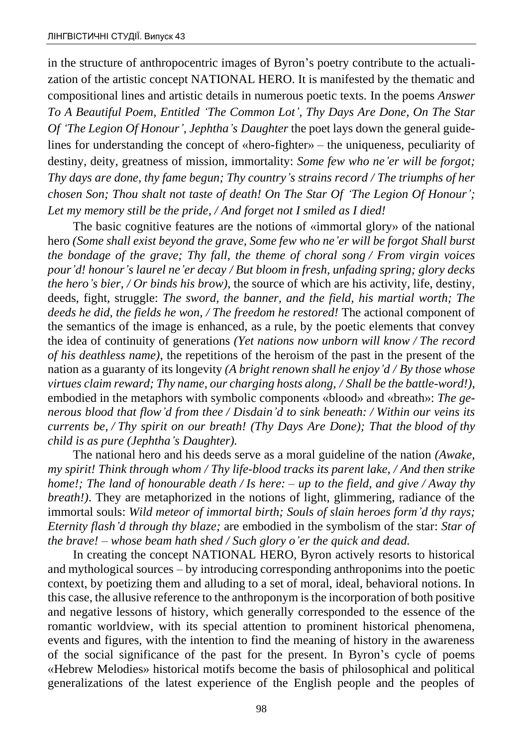in the structure of anthropocentric images of Byron's poetry contribute to the actualization of the artistic concept NATIONAL HERO. It is manifested by the thematic and compositional lines and artistic details in numerous poetic texts. In the poems *Answer To A Beautiful Poem, Entitled 'The Common Lot', Thy Days Are Done, On The Star Of 'The Legion Of Honour', Jephtha's Daughter* the poet lays down the general guidelines for understanding the concept of «hero-fighter» – the uniqueness, peculiarity of destiny, deity, greatness of mission, immortality: *Some few who ne'er will be forgot; Thy days are done, thy fame begun; Thy country's strains record / The triumphs of her chosen Son; Thou shalt not taste of death! On The Star Of 'The Legion Of Honour'; Let my memory still be the pride, / And forget not I smiled as I died!* 

The basic cognitive features are the notions of «immortal glory» of the national hero *(Some shall exist beyond the grave, Some few who ne'er will be forgot Shall burst the bondage of the grave; Thy fall, the theme of choral song / From virgin voices pour'd! honour's laurel ne'er decay / But bloom in fresh, unfading spring; glory decks the hero's bier, / Or binds his brow)*, the source of which are his activity, life, destiny, deeds, fight, struggle: *The sword, the banner, and the field, his martial worth; The deeds he did, the fields he won, / The freedom he restored!* The actional component of the semantics of the image is enhanced, as a rule, by the poetic elements that convey the idea of continuity of generations *(Yet nations now unborn will know / The record of his deathless name)*, the repetitions of the heroism of the past in the present of the nation as a guaranty of its longevity *(A bright renown shall he enjoy'd / By those whose virtues claim reward; Thy name, our charging hosts along, / Shall be the battle-word!)*, embodied in the metaphors with symbolic components «blood» and «breath»: *The generous blood that flow'd from thee / Disdain'd to sink beneath: / Within our veins its currents be, / Thy spirit on our breath! (Thy Days Are Done); That the blood of thy child is as pure (Jephtha's Daughter).*

The national hero and his deeds serve as a moral guideline of the nation *(Awake, my spirit! Think through whom / Thy life-blood tracks its parent lake, / And then strike home!; The land of honourable death / Is here: – up to the field, and give / Away thy breath!)*. They are metaphorized in the notions of light, glimmering, radiance of the immortal souls: *Wild meteor of immortal birth; Souls of slain heroes form'd thy rays; Eternity flash'd through thy blaze;* are embodied in the symbolism of the star: *Star of the brave! – whose beam hath shed / Such glory o'er the quick and dead.*

In creating the concept NATIONAL HERO, Byron actively resorts to historical and mythological sources – by introducing corresponding anthroponims into the poetic context, by poetizing them and alluding to a set of moral, ideal, behavioral notions. In this case, the allusive reference to the anthroponym is the incorporation of both positive and negative lessons of history, which generally corresponded to the essence of the romantic worldview, with its special attention to prominent historical phenomena, events and figures, with the intention to find the meaning of history in the awareness of the social significance of the past for the present. In Byron's cycle of poems «Hebrew Melodies» historical motifs become the basis of philosophical and political generalizations of the latest experience of the English people and the peoples of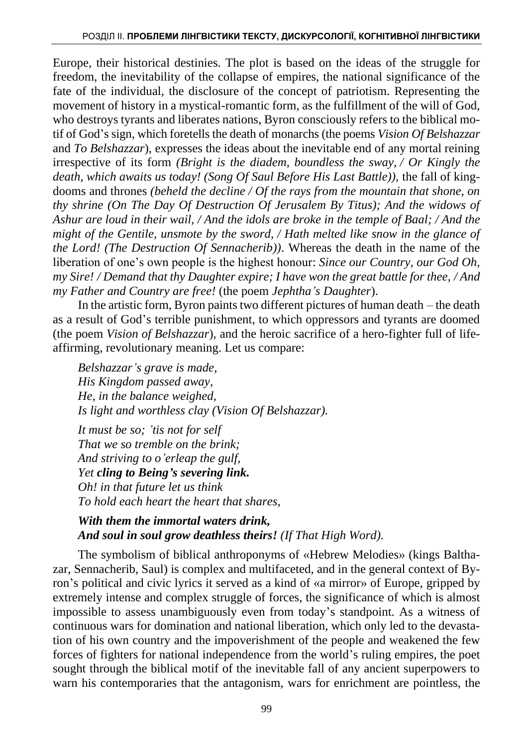Europe, their historical destinies. The plot is based on the ideas of the struggle for freedom, the inevitability of the collapse of empires, the national significance of the fate of the individual, the disclosure of the concept of patriotism. Representing the movement of history in a mystical-romantic form, as the fulfillment of the will of God, who destroys tyrants and liberates nations, Byron consciously refers to the biblical motif of God's sign, which foretells the death of monarchs (the poems *Vision Of Belshazzar* and *To Belshazzar*), expresses the ideas about the inevitable end of any mortal reining irrespective of its form *(Bright is the diadem, boundless the sway, / Or Kingly the death, which awaits us today! (Song Of Saul Before His Last Battle)),* the fall of kingdooms and thrones *(beheld the decline / Of the rays from the mountain that shone, on thy shrine (On The Day Of Destruction Of Jerusalem By Titus); And the widows of Ashur are loud in their wail, / And the idols are broke in the temple of Baal; / And the might of the Gentile, unsmote by the sword, / Hath melted like snow in the glance of the Lord! (The Destruction Of Sennacherib))*. Whereas the death in the name of the liberation of one's own people is the highest honour: *Since our Country, our God Oh, my Sire! / Demand that thy Daughter expire; I have won the great battle for thee, / And my Father and Country are free!* (the poem *Jephtha's Daughter*).

In the artistic form, Byron paints two different pictures of human death – the death as a result of God's terrible punishment, to which oppressors and tyrants are doomed (the poem *Vision of Belshazzar*), and the heroic sacrifice of a hero-fighter full of lifeaffirming, revolutionary meaning. Let us compare:

*Belshazzar's grave is made, His Kingdom passed away, He, in the balance weighed, Is light and worthless clay (Vision Of Belshazzar).*

*It must be so; 'tis not for self That we so tremble on the brink; And striving to o'erleap the gulf, Yet cling to Being's severing link. Oh! in that future let us think To hold each heart the heart that shares,*

*With them the immortal waters drink, And soul in soul grow deathless theirs! (If That High Word).*

The symbolism of biblical anthroponyms of «Hebrew Melodies» (kings Balthazar, Sennacherib, Saul) is complex and multifaceted, and in the general context of Byron's political and civic lyrics it served as a kind of «a mirror» of Europe, gripped by extremely intense and complex struggle of forces, the significance of which is almost impossible to assess unambiguously even from today's standpoint. As a witness of continuous wars for domination and national liberation, which only led to the devastation of his own country and the impoverishment of the people and weakened the few forces of fighters for national independence from the world's ruling empires, the poet sought through the biblical motif of the inevitable fall of any ancient superpowers to warn his contemporaries that the antagonism, wars for enrichment are pointless, the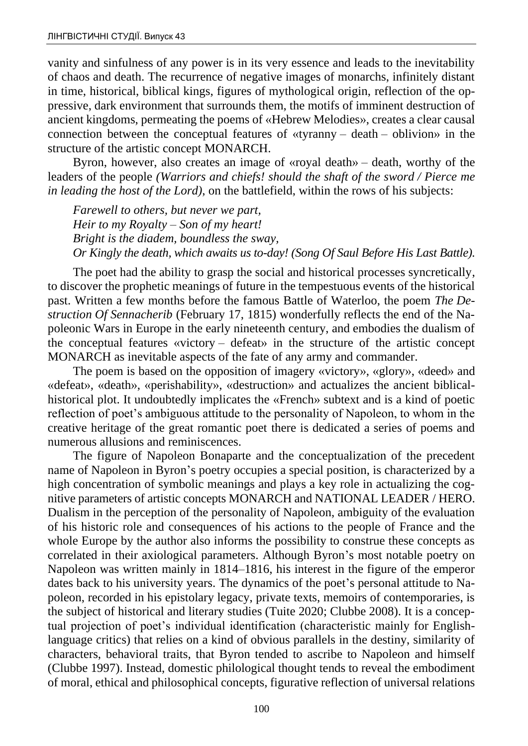vanity and sinfulness of any power is in its very essence and leads to the inevitability of chaos and death. The recurrence of negative images of monarchs, infinitely distant in time, historical, biblical kings, figures of mythological origin, reflection of the oppressive, dark environment that surrounds them, the motifs of imminent destruction of ancient kingdoms, permeating the poems of «Hebrew Melodies», creates a clear causal connection between the conceptual features of «tyranny – death – oblivion» in the structure of the artistic concept MONARCH.

Byron, however, also creates an image of «royal death» – death, worthy of the leaders of the people *(Warriors and chiefs! should the shaft of the sword / Pierce me in leading the host of the Lord)*, on the battlefield, within the rows of his subjects:

*Farewell to others, but never we part, Heir to my Royalty – Son of my heart! Bright is the diadem, boundless the sway, Or Kingly the death, which awaits us to-day! (Song Of Saul Before His Last Battle).*

The poet had the ability to grasp the social and historical processes syncretically, to discover the prophetic meanings of future in the tempestuous events of the historical past. Written a few months before the famous Battle of Waterloo, the poem *The Destruction Of Sennacherib* (February 17, 1815) wonderfully reflects the end of the Napoleonic Wars in Europe in the early nineteenth century, and embodies the dualism of the conceptual features «victory – defeat» in the structure of the artistic concept MONARCH as inevitable aspects of the fate of any army and commander.

The poem is based on the opposition of imagery «victory», «glory», «deed» and «defeat», «death», «perishability», «destruction» and actualizes the ancient biblicalhistorical plot. It undoubtedly implicates the «French» subtext and is a kind of poetic reflection of poet's ambiguous attitude to the personality of Napoleon, to whom in the creative heritage of the great romantic poet there is dedicated a series of poems and numerous allusions and reminiscences.

The figure of Napoleon Bonaparte and the conceptualization of the precedent name of Napoleon in Byron's poetry occupies a special position, is characterized by a high concentration of symbolic meanings and plays a key role in actualizing the cognitive parameters of artistic concepts MONARCH and NATIONAL LEADER / HERO. Dualism in the perception of the personality of Napoleon, ambiguity of the evaluation of his historic role and consequences of his actions to the people of France and the whole Europe by the author also informs the possibility to construe these concepts as correlated in their axiological parameters. Although Byron's most notable poetry on Napoleon was written mainly in 1814–1816, his interest in the figure of the emperor dates back to his university years. The dynamics of the poet's personal attitude to Napoleon, recorded in his epistolary legacy, private texts, memoirs of contemporaries, is the subject of historical and literary studies (Tuite 2020; Clubbe 2008). It is a conceptual projection of poet's individual identification (characteristic mainly for Englishlanguage critics) that relies on a kind of obvious parallels in the destiny, similarity of characters, behavioral traits, that Byron tended to ascribe to Napoleon and himself (Clubbe 1997). Instead, domestic philological thought tends to reveal the embodiment of moral, ethical and philosophical concepts, figurative reflection of universal relations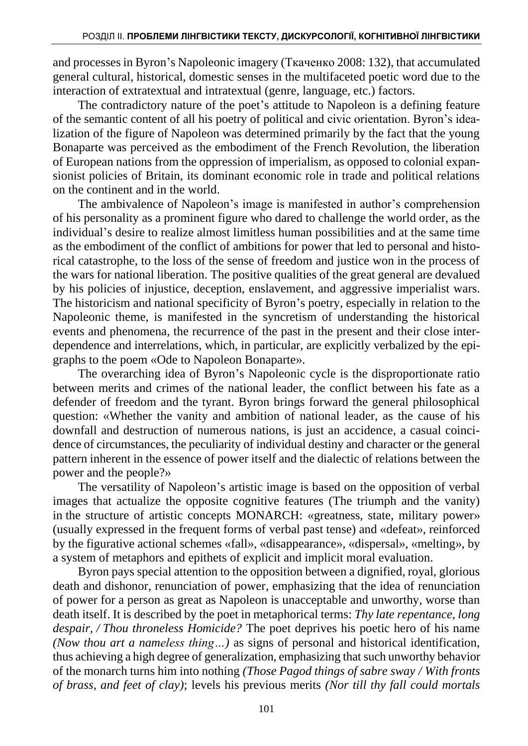and processes in Byron's Napoleonic imagery (Ткаченко 2008: 132), that accumulated general cultural, historical, domestic senses in the multifaceted poetic word due to the interaction of extratextual and intratextual (genre, language, etc.) factors.

The contradictory nature of the poet's attitude to Napoleon is a defining feature of the semantic content of all his poetry of political and civic orientation. Byron's idealization of the figure of Napoleon was determined primarily by the fact that the young Bonaparte was perceived as the embodiment of the French Revolution, the liberation of European nations from the oppression of imperialism, as opposed to colonial expansionist policies of Britain, its dominant economic role in trade and political relations on the continent and in the world.

The ambivalence of Napoleon's image is manifested in author's comprehension of his personality as a prominent figure who dared to challenge the world order, as the individual's desire to realize almost limitless human possibilities and at the same time as the embodiment of the conflict of ambitions for power that led to personal and historical catastrophe, to the loss of the sense of freedom and justice won in the process of the wars for national liberation. The positive qualities of the great general are devalued by his policies of injustice, deception, enslavement, and aggressive imperialist wars. The historicism and national specificity of Byron's poetry, especially in relation to the Napoleonic theme, is manifested in the syncretism of understanding the historical events and phenomena, the recurrence of the past in the present and their close interdependence and interrelations, which, in particular, are explicitly verbalized by the epigraphs to the poem «Ode to Napoleon Bonaparte».

The overarching idea of Byron's Napoleonic cycle is the disproportionate ratio between merits and crimes of the national leader, the conflict between his fate as a defender of freedom and the tyrant. Byron brings forward the general philosophical question: «Whether the vanity and ambition of national leader, as the cause of his downfall and destruction of numerous nations, is just an accidence, a casual coincidence of circumstances, the peculiarity of individual destiny and character or the general pattern inherent in the essence of power itself and the dialectic of relations between the power and the people?»

The versatility of Napoleon's artistic image is based on the opposition of verbal images that actualize the opposite cognitive features (The triumph and the vanity) in the structure of artistic concepts MONARCH: «greatness, state, military power» (usually expressed in the frequent forms of verbal past tense) and «defeat», reinforced by the figurative actional schemes «fall», «disappearance», «dispersal», «melting», by a system of metaphors and epithets of explicit and implicit moral evaluation.

Byron pays special attention to the opposition between a dignified, royal, glorious death and dishonor, renunciation of power, emphasizing that the idea of renunciation of power for a person as great as Napoleon is unacceptable and unworthy, worse than death itself. It is described by the poet in metaphorical terms: *Thy late repentance, long despair, / Thou throneless Homicide?* The poet deprives his poetic hero of his name *(Now thou art a nameless thing…)* as signs of personal and historical identification, thus achieving a high degree of generalization, emphasizing that such unworthy behavior of the monarch turns him into nothing *(Those Pagod things of sabre sway / With fronts of brass, and feet of clay)*; levels his previous merits *(Nor till thy fall could mortals*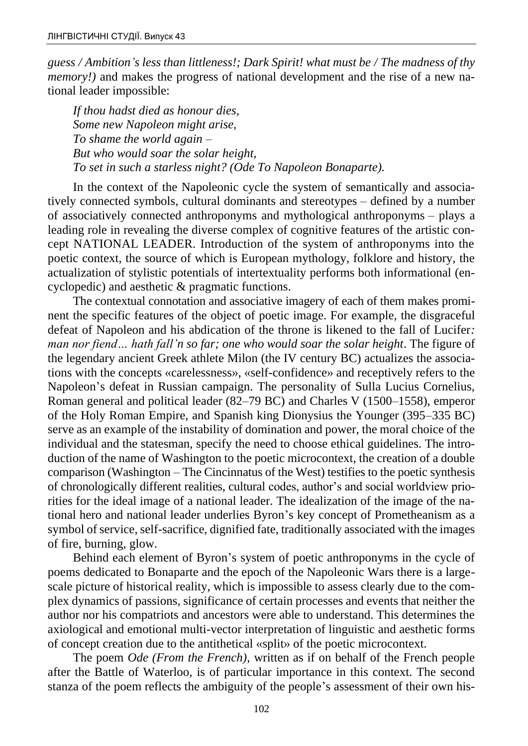*guess / Ambition's less than littleness!; Dark Spirit! what must be / The madness of thy memory!*) and makes the progress of national development and the rise of a new national leader impossible:

*If thou hadst died as honour dies, Some new Napoleon might arise, To shame the world again – But who would soar the solar height, To set in such a starless night? (Ode To Napoleon Bonaparte).*

In the context of the Napoleonic cycle the system of semantically and associatively connected symbols, cultural dominants and stereotypes – defined by a number of associatively connected anthroponyms and mythological anthroponyms – plays a leading role in revealing the diverse complex of cognitive features of the artistic concept NATIONAL LEADER. Introduction of the system of anthroponyms into the poetic context, the source of which is European mythology, folklore and history, the actualization of stylistic potentials of intertextuality performs both informational (encyclopedic) and aesthetic & pragmatic functions.

The contextual connotation and associative imagery of each of them makes prominent the specific features of the object of poetic image. For example, the disgraceful defeat of Napoleon and his abdication of the throne is likened to the fall of Lucifer*: man nor fiend… hath fall'n so far; one who would soar the solar height*. The figure of the legendary ancient Greek athlete Milon (the IV century BC) actualizes the associations with the concepts «carelessness», «self-confidence» and receptively refers to the Napoleon's defeat in Russian campaign. The personality of Sulla Lucius Cornelius, Roman general and political leader (82–79 BC) and Charles V (1500–1558), emperor of the Holy Roman Empire, and Spanish king Dionysius the Younger (395–335 BC) serve as an example of the instability of domination and power, the moral choice of the individual and the statesman, specify the need to choose ethical guidelines. The introduction of the name of Washington to the poetic microcontext, the creation of a double comparison (Washington – The Cincinnatus of the West) testifies to the poetic synthesis of chronologically different realities, cultural codes, author's and social worldview priorities for the ideal image of a national leader. The idealization of the image of the national hero and national leader underlies Byron's key concept of Prometheanism as a symbol of service, self-sacrifice, dignified fate, traditionally associated with the images of fire, burning, glow.

Behind each element of Byron's system of poetic anthroponyms in the cycle of poems dedicated to Bonaparte and the epoch of the Napoleonic Wars there is a largescale picture of historical reality, which is impossible to assess clearly due to the complex dynamics of passions, significance of certain processes and events that neither the author nor his compatriots and ancestors were able to understand. This determines the axiological and emotional multi-vector interpretation of linguistic and aesthetic forms of concept creation due to the antithetical «split» of the poetic microcontext.

The poem *Ode (From the French)*, written as if on behalf of the French people after the Battle of Waterloo, is of particular importance in this context. The second stanza of the poem reflects the ambiguity of the people's assessment of their own his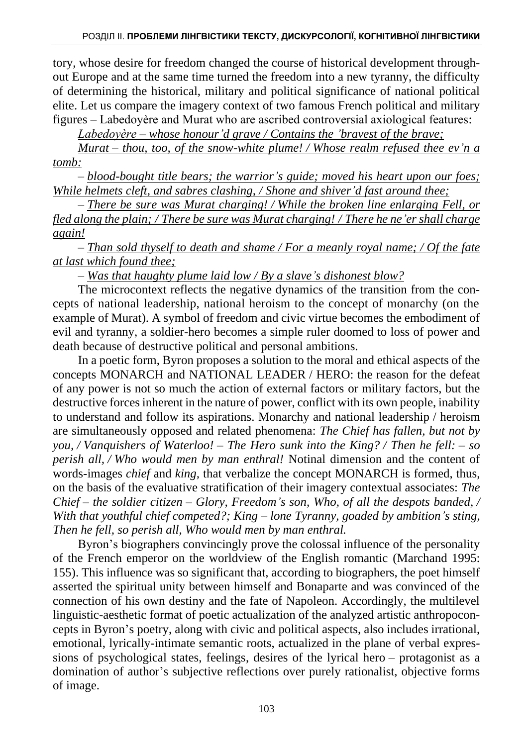tory, whose desire for freedom changed the course of historical development throughout Europe and at the same time turned the freedom into a new tyranny, the difficulty of determining the historical, military and political significance of national political elite. Let us compare the imagery context of two famous French political and military figures – Labedoyère and Murat who are ascribed controversial axiological features:

*Labedoyère – whose honour'd grave / Contains the 'bravest of the brave;* 

*Murat – thou, too, of the snow-white plume! / Whose realm refused thee ev'n a tomb:*

*– blood-bought title bears; the warrior's guide; moved his heart upon our foes; While helmets cleft, and sabres clashing, / Shone and shiver'd fast around thee;*

*– There be sure was Murat charging! / While the broken line enlarging Fell, or fled along the plain; / There be sure was Murat charging! / There he ne'er shall charge again!*

*– Than sold thyself to death and shame / For a meanly royal name; / Of the fate at last which found thee;*

*– Was that haughty plume laid low / By a slave's dishonest blow?*

The microcontext reflects the negative dynamics of the transition from the concepts of national leadership, national heroism to the concept of monarchy (on the example of Murat). A symbol of freedom and civic virtue becomes the embodiment of evil and tyranny, a soldier-hero becomes a simple ruler doomed to loss of power and death because of destructive political and personal ambitions.

In a poetic form, Byron proposes a solution to the moral and ethical aspects of the concepts MONARCH and NATIONAL LEADER / HERO: the reason for the defeat of any power is not so much the action of external factors or military factors, but the destructive forces inherent in the nature of power, conflict with its own people, inability to understand and follow its aspirations. Monarchy and national leadership / heroism are simultaneously opposed and related phenomena: *The Chief has fallen, but not by you, / Vanquishers of Waterloo! – The Hero sunk into the King? / Then he fell: – so perish all, / Who would men by man enthral!* Notinal dimension and the content of words-images *chief* and *king,* that verbalize the concept MONARCH is formed, thus, on the basis of the evaluative stratification of their imagery contextual associates: *The Chief – the soldier citizen – Glory, Freedom's son, Who, of all the despots banded, / With that youthful chief competed?; King – lone Tyranny, goaded by ambition's sting, Then he fell, so perish all, Who would men by man enthral.*

Byron's biographers convincingly prove the colossal influence of the personality of the French emperor on the worldview of the English romantic (Marchand 1995: 155). This influence was so significant that, according to biographers, the poet himself asserted the spiritual unity between himself and Bonaparte and was convinced of the connection of his own destiny and the fate of Napoleon. Accordingly, the multilevel linguistic-aesthetic format of poetic actualization of the analyzed artistic anthropoconcepts in Byron's poetry, along with civic and political aspects, also includes irrational, emotional, lyrically-intimate semantic roots, actualized in the plane of verbal expressions of psychological states, feelings, desires of the lyrical hero – protagonist as a domination of author's subjective reflections over purely rationalist, objective forms of image.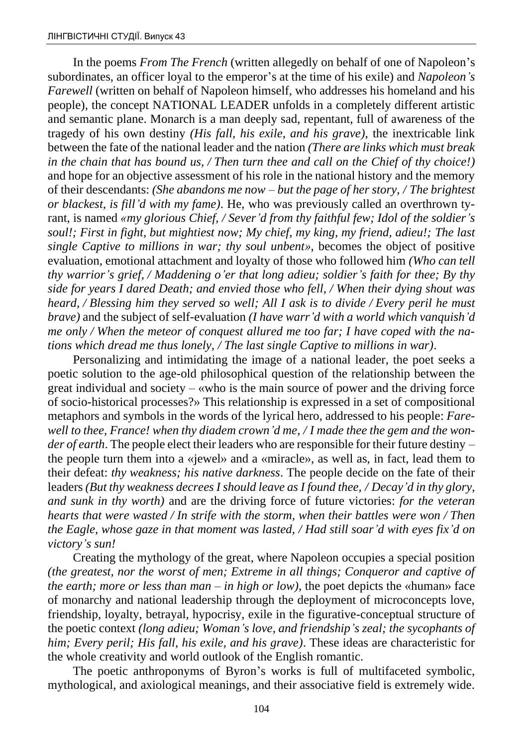In the poems *From The French* (written allegedly on behalf of one of Napoleon's subordinates, an officer loyal to the emperor's at the time of his exile) and *Napoleon's Farewell* (written on behalf of Napoleon himself, who addresses his homeland and his people), the concept NATIONAL LEADER unfolds in a completely different artistic and semantic plane. Monarch is a man deeply sad, repentant, full of awareness of the tragedy of his own destiny *(His fall, his exile, and his grave)*, the inextricable link between the fate of the national leader and the nation *(There are links which must break in the chain that has bound us, / Then turn thee and call on the Chief of thy choice!)* and hope for an objective assessment of his role in the national history and the memory of their descendants: *(She abandons me now – but the page of her story, / The brightest or blackest, is fill'd with my fame)*. He, who was previously called an overthrown tyrant, is named *«my glorious Chief, / Sever'd from thy faithful few; Idol of the soldier's soul!; First in fight, but mightiest now; My chief, my king, my friend, adieu!; The last single Captive to millions in war; thy soul unbent»*, becomes the object of positive evaluation, emotional attachment and loyalty of those who followed him *(Who can tell thy warrior's grief, / Maddening o'er that long adieu; soldier's faith for thee; By thy side for years I dared Death; and envied those who fell, / When their dying shout was heard, / Blessing him they served so well; All I ask is to divide / Every peril he must brave)* and the subject of self-evaluation *(I have warr'd with a world which vanquish'd me only / When the meteor of conquest allured me too far; I have coped with the nations which dread me thus lonely, / The last single Captive to millions in war)*.

Personalizing and intimidating the image of a national leader, the poet seeks a poetic solution to the age-old philosophical question of the relationship between the great individual and society – «who is the main source of power and the driving force of socio-historical processes?» This relationship is expressed in a set of compositional metaphors and symbols in the words of the lyrical hero, addressed to his people: *Farewell to thee, France! when thy diadem crown'd me, / I made thee the gem and the wonder of earth*. The people elect their leaders who are responsible for their future destiny – the people turn them into a «jewel» and a «miracle», as well as, in fact, lead them to their defeat: *thy weakness; his native darkness*. The people decide on the fate of their leaders *(But thy weakness decrees I should leave as I found thee, / Decay'd in thy glory, and sunk in thy worth)* and are the driving force of future victories: *for the veteran hearts that were wasted / In strife with the storm, when their battles were won / Then the Eagle, whose gaze in that moment was lasted, / Had still soar'd with eyes fix'd on victory's sun!*

Creating the mythology of the great, where Napoleon occupies a special position *(the greatest, nor the worst of men; Extreme in all things; Conqueror and captive of the earth; more or less than man – in high or low)*, the poet depicts the «human» face of monarchy and national leadership through the deployment of microconcepts love, friendship, loyalty, betrayal, hypocrisy, exile in the figurative-conceptual structure of the poetic context *(long adieu; Woman's love, and friendship's zeal; the sycophants of him; Every peril; His fall, his exile, and his grave)*. These ideas are characteristic for the whole creativity and world outlook of the English romantic.

The poetic anthroponyms of Byron's works is full of multifaceted symbolic, mythological, and axiological meanings, and their associative field is extremely wide.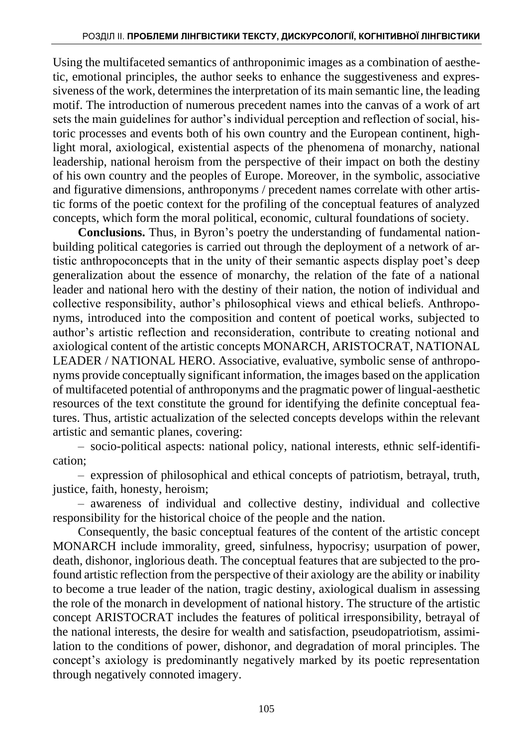Using the multifaceted semantics of anthroponimic images as a combination of aesthetic, emotional principles, the author seeks to enhance the suggestiveness and expressiveness of the work, determines the interpretation of its main semantic line, the leading motif. The introduction of numerous precedent names into the canvas of a work of art sets the main guidelines for author's individual perception and reflection of social, historic processes and events both of his own country and the European continent, highlight moral, axiological, existential aspects of the phenomena of monarchy, national leadership, national heroism from the perspective of their impact on both the destiny of his own country and the peoples of Europe. Moreover, in the symbolic, associative and figurative dimensions, anthroponyms / precedent names correlate with other artistic forms of the poetic context for the profiling of the conceptual features of analyzed concepts, which form the moral political, economic, cultural foundations of society.

**Conclusions.** Thus, in Byron's poetry the understanding of fundamental nationbuilding political categories is carried out through the deployment of a network of artistic anthropoconcepts that in the unity of their semantic aspects display poet's deep generalization about the essence of monarchy, the relation of the fate of a national leader and national hero with the destiny of their nation, the notion of individual and collective responsibility, author's philosophical views and ethical beliefs. Anthroponyms, introduced into the composition and content of poetical works, subjected to author's artistic reflection and reconsideration, contribute to creating notional and axiological content of the artistic concepts MONARCH, ARISTOCRAT, NATIONAL LEADER / NATIONAL HERO. Associative, evaluative, symbolic sense of anthroponyms provide conceptually significant information, the images based on the application of multifaceted potential of anthroponyms and the pragmatic power of lingual-aesthetic resources of the text constitute the ground for identifying the definite conceptual features. Thus, artistic actualization of the selected concepts develops within the relevant artistic and semantic planes, covering:

– socio-political aspects: national policy, national interests, ethnic self-identification;

– expression of philosophical and ethical concepts of patriotism, betrayal, truth, justice, faith, honesty, heroism;

– awareness of individual and collective destiny, individual and collective responsibility for the historical choice of the people and the nation.

Consequently, the basic conceptual features of the content of the artistic concept MONARCH include immorality, greed, sinfulness, hypocrisy; usurpation of power, death, dishonor, inglorious death. The conceptual features that are subjected to the profound artistic reflection from the perspective of their axiology are the ability or inability to become a true leader of the nation, tragic destiny, axiological dualism in assessing the role of the monarch in development of national history. The structure of the artistic concept ARISTOCRAT includes the features of political irresponsibility, betrayal of the national interests, the desire for wealth and satisfaction, pseudopatriotism, assimilation to the conditions of power, dishonor, and degradation of moral principles. The concept's axiology is predominantly negatively marked by its poetic representation through negatively connoted imagery.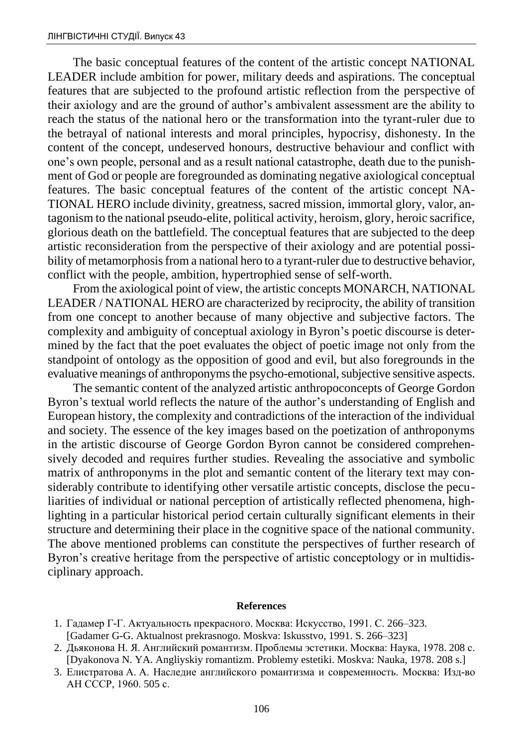The basic conceptual features of the content of the artistic concept NATIONAL LEADER include ambition for power, military deeds and aspirations. The conceptual features that are subjected to the profound artistic reflection from the perspective of their axiology and are the ground of author's ambivalent assessment are the ability to reach the status of the national hero or the transformation into the tyrant-ruler due to the betrayal of national interests and moral principles, hypocrisy, dishonesty. In the content of the concept, undeserved honours, destructive behaviour and conflict with one's own people, personal and as a result national catastrophe, death due to the punishment of God or people are foregrounded as dominating negative axiological conceptual features. The basic conceptual features of the content of the artistic concept NA-TIONAL HERO include divinity, greatness, sacred mission, immortal glory, valor, antagonism to the national pseudo-elite, political activity, heroism, glory, heroic sacrifice, glorious death on the battlefield. The conceptual features that are subjected to the deep artistic reconsideration from the perspective of their axiology and are potential possibility of metamorphosis from a national hero to a tyrant-ruler due to destructive behavior, conflict with the people, ambition, hypertrophied sense of self-worth.

From the axiological point of view, the artistic concepts MONARCH, NATIONAL LEADER / NATIONAL HERO are characterized by reciprocity, the ability of transition from one concept to another because of many objective and subjective factors. The complexity and ambiguity of conceptual axiology in Byron's poetic discourse is determined by the fact that the poet evaluates the object of poetic image not only from the standpoint of ontology as the opposition of good and evil, but also foregrounds in the evaluative meanings of anthroponyms the psycho-emotional, subjective sensitive aspects.

The semantic content of the analyzed artistic anthropoconcepts of George Gordon Byron's textual world reflects the nature of the author's understanding of English and European history, the complexity and contradictions of the interaction of the individual and society. The essence of the key images based on the poetization of anthroponyms in the artistic discourse of George Gordon Byron cannot be considered comprehensively decoded and requires further studies. Revealing the associative and symbolic matrix of anthroponyms in the plot and semantic content of the literary text may considerably contribute to identifying other versatile artistic concepts, disclose the peculiarities of individual or national perception of artistically reflected phenomena, highlighting in a particular historical period certain culturally significant elements in their structure and determining their place in the cognitive space of the national community. The above mentioned problems can constitute the perspectives of further research of Byron's creative heritage from the perspective of artistic conceptology or in multidisciplinary approach.

#### **References**

- 1. Гадамер Г-Г. Актуальность прекрасного. Москва: Искусство, 1991. С. 266–323. [Gadamer G-G. Aktualnost prekrasnogo. Moskva: Iskusstvo, 1991. S. 266–323]
- 2. Дьяконова Н. Я. Английский романтизм. Проблемы эстетики. Москва: Наука, 1978. 208 с. [Dyakonova N. YA. Angliyskiy romantizm. Problemy estetiki. Moskva: Nauka, 1978. 208 s.]
- 3. Елистратова А. А. Наследие английского романтизма и современность. Москва: Изд-во АН СССР, 1960. 505 с.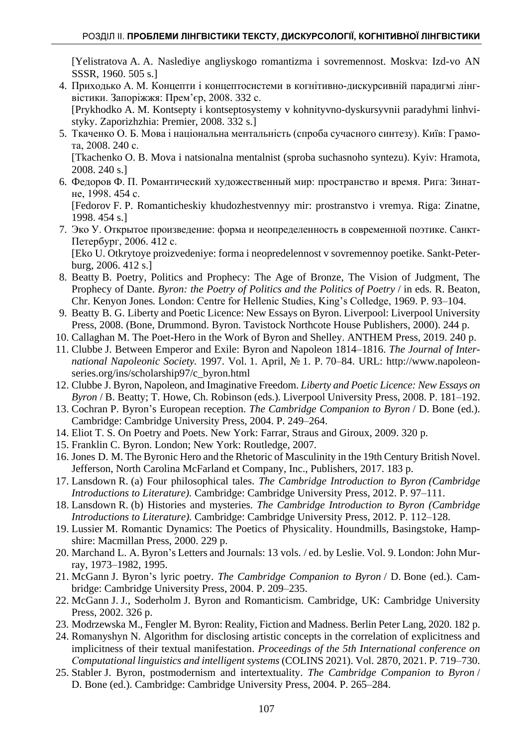[Yelistratova A. A. Naslediye angliyskogo romantizma i sovremennost. Moskva: Izd-vo AN SSSR, 1960. 505 s.]

- 4. Приходько А. М. Концепти і концептосистеми в когнітивно-дискурсивній парадигмі лінгвістики. Запоріжжя: Прем'єр, 2008. 332 с. [Prykhodko A. M. Kontsepty i kontseptosystemy v kohnityvno-dyskursyvnii paradyhmi linhvi-
- styky. Zaporizhzhia: Premier, 2008. 332 s.] 5. Ткаченко О. Б. Мова і національна ментальність (спроба сучасного синтезу). Київ: Грамота, 2008. 240 с.

[Tkachenko O. B. Mova i natsionalna mentalnist (sproba suchasnoho syntezu). Kyiv: Hramota, 2008. 240 s.]

6. Федоров Ф. П. Романтический художественный мир: пространство и время. Рига: Зинатне, 1998. 454 с.

[Fedorov F. P. Romanticheskiy khudozhestvennyy mir: prostranstvo i vremya. Riga: Zinatne, 1998. 454 s.]

7. Эко У. Открытое произведение: форма и неопределенность в современной поэтике. Санкт-Петербург, 2006. 412 с.

[Eko U. Otkrytoye proizvedeniye: forma i neopredelennost v sovremennoy poetike. Sankt-Peterburg, 2006. 412 s.]

- 8. Beatty B. Poetry, Politics and Prophecy: The Age of Bronze, The Vision of Judgment, The Prophecy of Dante. *Byron: the Poetry of Politics and the Politics of Poetry* / in eds*.* R. Beaton, Chr. Kenyon Jones*.* London: Centre for Hellenic Studies, King's Colledge, 1969. P. 93–104.
- 9. Beatty B. G. Liberty and Poetic Licence: New Essays on Byron. Liverpool: Liverpool University Press, 2008. (Bone, Drummond. Byron. Tavistock Northcote House Publishers, 2000). 244 p.
- 10. Callaghan M. The Poet-Hero in the Work of Byron and Shelley. ANTHEM Press, 2019. 240 p.
- 11. [Clubbe](mailto:ENG015@ukcc.uky.edu) J. Between Emperor and Exile: Byron and Napoleon 1814–1816. *The Journal of International Napoleonic Society.* 1997. Vol. 1. April, № 1. P. 70–84. URL: [http://www.napoleon](http://www.napoleon-series.org/ins/scholarship97/c_byron.html)[series.org/ins/scholarship97/c\\_byron.html](http://www.napoleon-series.org/ins/scholarship97/c_byron.html)
- 12. Clubbe J. Byron, Napoleon, and Imaginative Freedom. *[Liberty and Poetic Licence: New Essays on](https://liverpool.universitypressscholarship.com/view/10.5949/UPO9781846315428/upso-9780853235897)  [Byron](https://liverpool.universitypressscholarship.com/view/10.5949/UPO9781846315428/upso-9780853235897)* / B. Beatty; T. Howe, Ch. Robinson (eds.)*.* Liverpool University Press, 2008. P. 181–192.
- 13. Cochran P. Byron's European reception. *The Cambridge Companion to Byron* / D. Bone (ed.). Cambridge: Cambridge University Press, 2004. P. 249–264.
- 14. Eliot T. S. On Poetry and Poets. New York: Farrar, Straus and Giroux, 2009. 320 p.
- 15. Franklin C. Byron. London; New York: Routledge, 2007.
- 16. Jones D. M. The Byronic Hero and the Rhetoric of Masculinity in the 19th Century British Novel. Jefferson, North Carolina McFarland et Company, Inc., Publishers, 2017. 183 p.
- 17. Lansdown R. (a) Four philosophical tales. *The Cambridge Introduction to Byron (Cambridge Introductions to Literature).* Cambridge: Cambridge University Press, 2012. P. 97–111.
- 18. Lansdown R. (b) Histories and mysteries. *The Cambridge Introduction to Byron (Cambridge Introductions to Literature).* Cambridge: Cambridge University Press, 2012. P. 112–128.
- 19. Lussier M. Romantic Dynamics: The Poetics of Physicality. Houndmills, Basingstoke, Hampshire: Macmillan Press, 2000. 229 p.
- 20. Marchand L. A. Byron's Letters and Journals: 13 vols. / ed. by Leslie. Vol. 9. London: John Murray, 1973–1982, 1995.
- 21. McGann J. Byron's lyric poetry. *The Cambridge Companion to Byron* / D. Bone (ed.). Cambridge: Cambridge University Press, 2004. P. 209–235.
- 22. McGann J. J., Soderholm J. Byron and Romanticism. Cambridge, UK: Cambridge University Press, 2002. 326 p.
- 23. Modrzewska M., Fengler M. Byron: Reality, Fiction and Madness. Berlin Peter Lang, 2020. 182 p.
- 24. Romanyshyn N. [Algorithm for disclosing artistic concepts in the correlation of explicitness and](file:///C:/Users/admin/Downloads/ArticlesEdit.aspx%3fid=86510)  [implicitness of their textual manifestation.](file:///C:/Users/admin/Downloads/ArticlesEdit.aspx%3fid=86510) *Proceedings of the 5th International conference on Сomputational linguistics and intelligent systems* (COLINS 2021). Vol. 2870, 2021. P. 719–730.
- 25. Stabler J. Byron, postmodernism and intertextuality. *The Cambridge Companion to Byron* / D. Bone (ed.). Cambridge: Cambridge University Press, 2004. P. 265–284.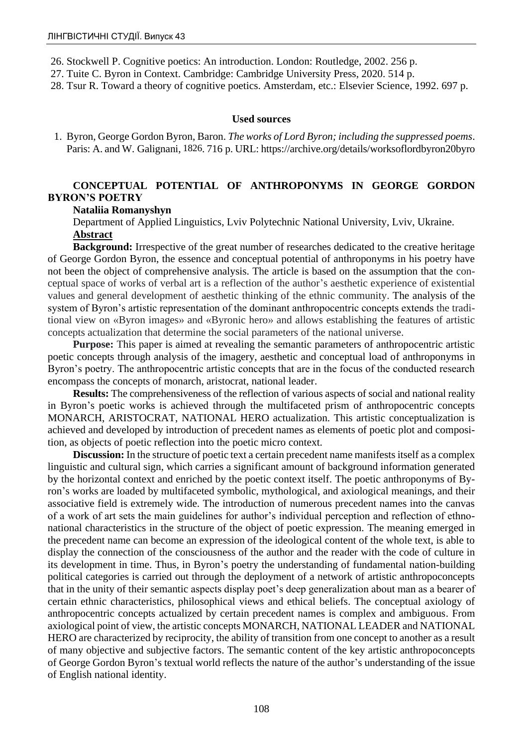- 26. Stockwell P. Cognitive poetics: An introduction. London: Routledge, 2002. 256 p.
- 27. Tuite C. Byron in Context. Cambridge: Cambridge University Press, 2020. 514 p.
- 28. Tsur R. Toward a theory of cognitive poetics. Amsterdam, etc.: Elsevier Science, 1992. 697 p.

#### **Used sources**

1. Byron, George Gordon Byron, Baron. *The works of Lord Byron; including the suppressed poems*. Paris: A. and W. Galignani, [1826](https://archive.org/search.php?query=date:1826). 716 p. URL: https://archive.org/details/worksoflordbyron20byro

## **CONCEPTUAL POTENTIAL OF ANTHROPONYMS IN GEORGE GORDON BYRON'S POETRY**

### **Nataliia Romanyshyn**

Department of Applied Linguistics, Lviv Polytechnic National University, Lviv, Ukraine. **Abstract**

**Background:** Irrespective of the great number of researches dedicated to the creative heritage of George Gordon Byron, the essence and conceptual potential of anthroponyms in his poetry have not been the object of comprehensive analysis. The article is based on the assumption that the conceptual space of works of verbal art is a reflection of the author's aesthetic experience of existential values and general development of aesthetic thinking of the ethnic community. The analysis of the system of Byron's artistic representation of the dominant anthropocentric concepts extends the traditional view on «Byron images» and «Byronic hero» and allows establishing the features of artistic concepts actualization that determine the social parameters of the national universe.

**Purpose:** This paper is aimed at revealing the semantic parameters of anthropocentric artistic poetic concepts through analysis of the imagery, aesthetic and conceptual load of anthroponyms in Byron's poetry. The anthropocentric artistic concepts that are in the focus of the conducted research encompass the concepts of monarch, aristocrat, national leader.

**Results:** The comprehensiveness of the reflection of various aspects of social and national reality in Byron's poetic works is achieved through the multifaceted prism of anthropocentric concepts MONARCH, ARISTOCRAT, NATIONAL HERO actualization. This artistic conceptualization is achieved and developed by introduction of precedent names as elements of poetic plot and composition, as objects of poetic reflection into the poetic micro context.

**Discussion:** In the structure of poetic text a certain precedent name manifests itself as a complex linguistic and cultural sign, which carries a significant amount of background information generated by the horizontal context and enriched by the poetic context itself. The poetic anthroponyms of Byron's works are loaded by multifaceted symbolic, mythological, and axiological meanings, and their associative field is extremely wide. The introduction of numerous precedent names into the canvas of a work of art sets the main guidelines for author's individual perception and reflection of ethnonational characteristics in the structure of the object of poetic expression. The meaning emerged in the precedent name can become an expression of the ideological content of the whole text, is able to display the connection of the consciousness of the author and the reader with the code of culture in its development in time. Thus, in Byron's poetry the understanding of fundamental nation-building political categories is carried out through the deployment of a network of artistic anthropoconcepts that in the unity of their semantic aspects display poet's deep generalization about man as a bearer of certain ethnic characteristics, philosophical views and ethical beliefs. The conceptual axiology of anthropocentric concepts actualized by certain precedent names is complex and ambiguous. From axiological point of view, the artistic concepts MONARCH, NATIONAL LEADER and NATIONAL HERO are characterized by reciprocity, the ability of transition from one concept to another as a result of many objective and subjective factors. The semantic content of the key artistic anthropoconcepts of George Gordon Byron's textual world reflects the nature of the author's understanding of the issue of English national identity.